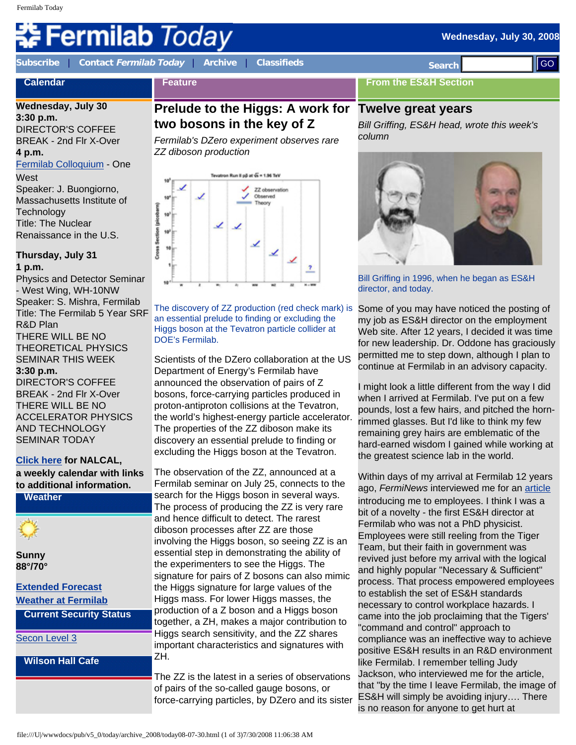# **ermilab** *Today*

**Wednesday, July 30, 2008** 

**Calendar**

**[Subscribe](http://www.fnal.gov/pub/today/subscription.html)** | **Contact [Fermilab Today](mailto:today@fnal.gov)** | **[Archive](http://www.fnal.gov/pub/today/archive.html)** | **[Classifieds](http://www.fnal.gov/pub/today/classifieds.html) Search** 

**Feature**

# **Wednesday, July 30**

**3:30 p.m.** DIRECTOR'S COFFEE BREAK - 2nd Flr X-Over **4 p.m.**

[Fermilab Colloquium](http://www-ppd.fnal.gov/EPPOffice-w/colloq/colloq.html) - One **West** 

Speaker: J. Buongiorno, Massachusetts Institute of **Technology** Title: The Nuclear Renaissance in the U.S.

**Thursday, July 31 1 p.m.**

Physics and Detector Seminar - West Wing, WH-10NW Speaker: S. Mishra, Fermilab Title: The Fermilab 5 Year SRF R&D Plan THERE WILL BE NO THEORETICAL PHYSICS SEMINAR THIS WEEK

#### **3:30 p.m.**

DIRECTOR'S COFFEE BREAK - 2nd Flr X-Over THERE WILL BE NO ACCELERATOR PHYSICS AND TECHNOLOGY SEMINAR TODAY

#### **[Click here](http://www.fnal.gov/directorate/nalcal/nalcal07_28_08.html) for NALCAL, a weekly calendar with links to additional information.**

**Weather**

**Sunny 88°/70°**

#### **[Extended Forecast](http://forecast.weather.gov/MapClick.php?CityName=Batavia&state=IL&site=LOT) [Weather at Fermilab](http://www-esh.fnal.gov/pls/default/weather.html)**

**Current Security Status**

[Secon Level 3](http://www.fnal.gov/pub/about/public_affairs/currentstatus.html)

#### **Wilson Hall Cafe**

**Prelude to the Higgs: A work for Twelve great years two bosons in the key of Z**

*Fermilab's DZero experiment observes rare ZZ diboson production*



The discovery of ZZ production (red check mark) is an essential prelude to finding or excluding the Higgs boson at the Tevatron particle collider at DOE's Fermilab.

Scientists of the DZero collaboration at the US Department of Energy's Fermilab have announced the observation of pairs of Z bosons, force-carrying particles produced in proton-antiproton collisions at the Tevatron, the world's highest-energy particle accelerator. The properties of the ZZ diboson make its discovery an essential prelude to finding or excluding the Higgs boson at the Tevatron.

The observation of the ZZ, announced at a Fermilab seminar on July 25, connects to the search for the Higgs boson in several ways. The process of producing the ZZ is very rare and hence difficult to detect. The rarest diboson processes after ZZ are those involving the Higgs boson, so seeing ZZ is an essential step in demonstrating the ability of the experimenters to see the Higgs. The signature for pairs of Z bosons can also mimic the Higgs signature for large values of the Higgs mass. For lower Higgs masses, the production of a Z boson and a Higgs boson together, a ZH, makes a major contribution to Higgs search sensitivity, and the ZZ shares important characteristics and signatures with ZH.

The ZZ is the latest in a series of observations of pairs of the so-called gauge bosons, or force-carrying particles, by DZero and its sister

**From the ES&H Section**

*Bill Griffing, ES&H head, wrote this week's column*



Bill Griffing in 1996, when he began as ES&H director, and today.

Some of you may have noticed the posting of my job as ES&H director on the employment Web site. After 12 years, I decided it was time for new leadership. Dr. Oddone has graciously permitted me to step down, although I plan to continue at Fermilab in an advisory capacity.

I might look a little different from the way I did when I arrived at Fermilab. I've put on a few pounds, lost a few hairs, and pitched the hornrimmed glasses. But I'd like to think my few remaining grey hairs are emblematic of the hard-earned wisdom I gained while working at the greatest science lab in the world.

Within days of my arrival at Fermilab 12 years ago, *FermiNews* interviewed me for an [article](http://www.fnal.gov/pub/ferminews/FermiNews96-05-31.pdf) introducing me to employees. I think I was a bit of a novelty - the first ES&H director at Fermilab who was not a PhD physicist. Employees were still reeling from the Tiger Team, but their faith in government was revived just before my arrival with the logical and highly popular "Necessary & Sufficient" process. That process empowered employees to establish the set of ES&H standards necessary to control workplace hazards. I came into the job proclaiming that the Tigers' "command and control" approach to compliance was an ineffective way to achieve positive ES&H results in an R&D environment like Fermilab. I remember telling Judy Jackson, who interviewed me for the article, that "by the time I leave Fermilab, the image of ES&H will simply be avoiding injury…. There is no reason for anyone to get hurt at **Except to the state of the state of 2008** in the state of 2008 in the state of 2008 in the state of 2008 in the state of 2008 in the state of 2008 in the state of 2008 in the state of 2008 in the state of 2008 11:00 in t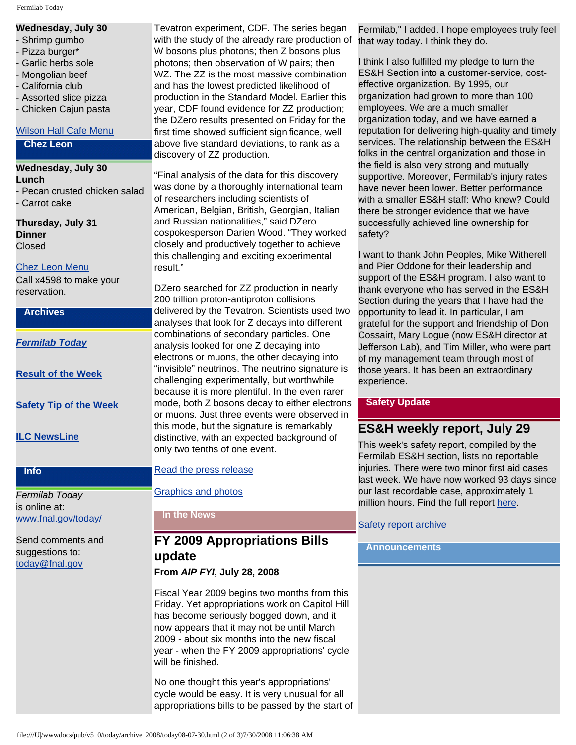Fermilab Today

#### **Wednesday, July 30**

- Shrimp gumbo
- Pizza burger\*
- Garlic herbs sole
- Mongolian beef
- California club
- Assorted slice pizza
- Chicken Cajun pasta

#### [Wilson Hall Cafe Menu](http://bss.fnal.gov/cafe/index.html)

#### **Chez Leon**

**Wednesday, July 30 Lunch** - Pecan crusted chicken salad - Carrot cake

**Thursday, July 31 Dinner** Closed

#### [Chez Leon Menu](http://bss.fnal.gov/chezleon/july.html)

Call x4598 to make your reservation.

#### **Archives**

*[Fermilab Today](http://www.fnal.gov/pub/today/archive.html)*

**[Result of the Week](http://www.fnal.gov/pub/today/resultoftheweek/index.html)**

**[Safety Tip of the Week](http://www.fnal.gov/pub/today/safety/)**

#### **[ILC NewsLine](http://www.linearcollider.org/newsline/archive/index.html)**

#### **Info**

*Fermilab Today* is online at: [www.fnal.gov/today/](http://www.fnal.gov/today/)

Send comments and suggestions to: [today@fnal.gov](mailto:today@fnal.gov)

Tevatron experiment, CDF. The series began with the study of the already rare production of W bosons plus photons; then Z bosons plus photons; then observation of W pairs; then WZ. The ZZ is the most massive combination and has the lowest predicted likelihood of production in the Standard Model. Earlier this year, CDF found evidence for ZZ production; the DZero results presented on Friday for the first time showed sufficient significance, well above five standard deviations, to rank as a discovery of ZZ production.

"Final analysis of the data for this discovery was done by a thoroughly international team of researchers including scientists of American, Belgian, British, Georgian, Italian and Russian nationalities," said DZero cospokesperson Darien Wood. "They worked closely and productively together to achieve this challenging and exciting experimental result."

DZero searched for ZZ production in nearly 200 trillion proton-antiproton collisions delivered by the Tevatron. Scientists used two analyses that look for Z decays into different combinations of secondary particles. One analysis looked for one Z decaying into electrons or muons, the other decaying into "invisible" neutrinos. The neutrino signature is challenging experimentally, but worthwhile because it is more plentiful. In the even rarer mode, both Z bosons decay to either electrons or muons. Just three events were observed in this mode, but the signature is remarkably distinctive, with an expected background of only two tenths of one event.

#### [Read the press release](http://www.fnal.gov/pub/presspass/press_releases/Dzero_zzdiboson.html)

[Graphics and photos](http://www.fnal.gov/pub/presspass/images/DZero-zz-pairs.html)

**In the News**

# **FY 2009 Appropriations Bills update**

**From** *AIP FYI***, July 28, 2008**

Fiscal Year 2009 begins two months from this Friday. Yet appropriations work on Capitol Hill has become seriously bogged down, and it now appears that it may not be until March 2009 - about six months into the new fiscal year - when the FY 2009 appropriations' cycle will be finished.

No one thought this year's appropriations' cycle would be easy. It is very unusual for all appropriations bills to be passed by the start of

Fermilab," I added. I hope employees truly feel that way today. I think they do.

I think I also fulfilled my pledge to turn the ES&H Section into a customer-service, costeffective organization. By 1995, our organization had grown to more than 100 employees. We are a much smaller organization today, and we have earned a reputation for delivering high-quality and timely services. The relationship between the ES&H folks in the central organization and those in the field is also very strong and mutually supportive. Moreover, Fermilab's injury rates have never been lower. Better performance with a smaller ES&H staff: Who knew? Could there be stronger evidence that we have successfully achieved line ownership for safety?

I want to thank John Peoples, Mike Witherell and Pier Oddone for their leadership and support of the ES&H program. I also want to thank everyone who has served in the ES&H Section during the years that I have had the opportunity to lead it. In particular, I am grateful for the support and friendship of Don Cossairt, Mary Logue (now ES&H director at Jefferson Lab), and Tim Miller, who were part of my management team through most of those years. It has been an extraordinary experience.

### **Safety Update**

## **ES&H weekly report, July 29**

This week's safety report, compiled by the Fermilab ES&H section, lists no reportable injuries. There were two minor first aid cases last week. We have now worked 93 days since our last recordable case, approximately 1 million hours. Find the full report [here](http://www.fnal.gov/pub/today/safetyreport_2008/Safetyreport072908.pdf).

### [Safety report archive](http://www.fnal.gov/pub/today/Safetyreport_2008archive.html)

### **Announcements**